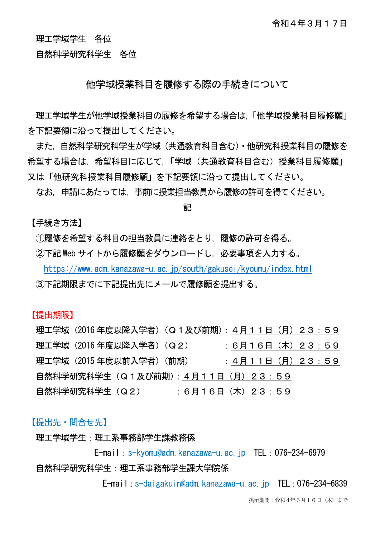理工学域学生 各位

自然科学研究科学生 各位

## 他学域授業科目を履修する際の手続きについて

理工学域学生が他学域授業科目の履修を希望する場合は,「他学域授業科目履修願」 を下記要領に沿って提出してください。

また,自然科学研究科学生が学域(共通教育科目含む)・他研究科授業科目の履修を 希望する場合は、希望科目に応じて、「学域(共通教育科目含む)授業科目履修願」 又は「他研究科授業科目履修願」を下記要領に沿って提出してください。

なお,申請にあたっては,事前に授業担当教員から履修の許可を得てください。

記

【手続き方法】

①履修を希望する科目の担当教員に連絡をとり,履修の許可を得る。

②下記 Web サイトから履修願をダウンロードし,必要事項を入力する。

<https://www.adm.kanazawa-u.ac.jp/south/gakusei/kyoumu/index.html>

③下記期限までに下記提出先にメールで履修願を提出する。

【提出期限】

理工学域(2016 年度以降入学者)(Q1及び前期):4月11日(月)23:59 理工学域 (2016年度以降入学者) (Q2) : 6月16日 (木) 23:59 理工学域 (2015年度以前入学者) (前期) :4月11日 (月) 23:59 自然科学研究科学生(Q1及び前期):4月11日(月)23:59 自然科学研究科学生(Q2) : 6月16日(木)23:59

## 【提出先・問合せ先】

理工学域学生:理工系事務部学生課教務係

E-mail:s-kyomu@adm.kanazawa-u.ac.jp TEL:076-234-6979 自然科学研究科学生:理工系事務部学生課大学院係

E-mail:s-daigakuin@adm.kanazawa-u.ac.jp TEL:076-234-6839

掲示期間:令和4年6月16日(木)まで